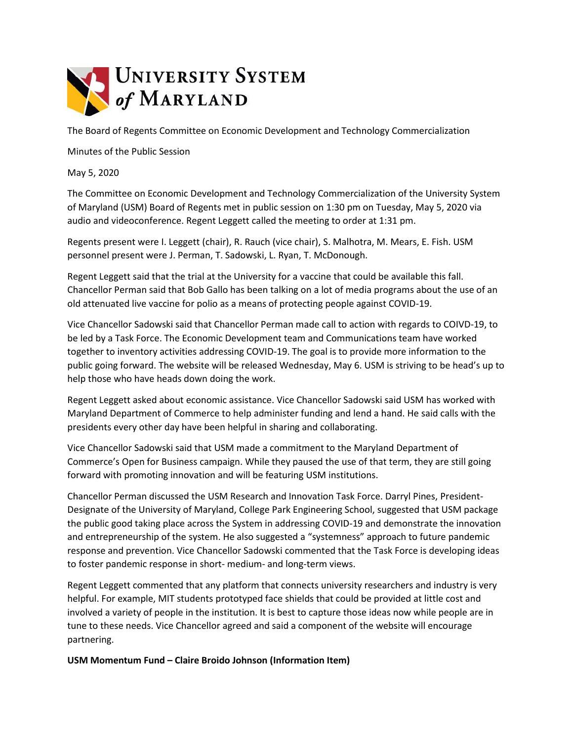

The Board of Regents Committee on Economic Development and Technology Commercialization

Minutes of the Public Session

May 5, 2020

The Committee on Economic Development and Technology Commercialization of the University System of Maryland (USM) Board of Regents met in public session on 1:30 pm on Tuesday, May 5, 2020 via audio and videoconference. Regent Leggett called the meeting to order at 1:31 pm.

Regents present were I. Leggett (chair), R. Rauch (vice chair), S. Malhotra, M. Mears, E. Fish. USM personnel present were J. Perman, T. Sadowski, L. Ryan, T. McDonough.

Regent Leggett said that the trial at the University for a vaccine that could be available this fall. Chancellor Perman said that Bob Gallo has been talking on a lot of media programs about the use of an old attenuated live vaccine for polio as a means of protecting people against COVID-19.

Vice Chancellor Sadowski said that Chancellor Perman made call to action with regards to COIVD-19, to be led by a Task Force. The Economic Development team and Communications team have worked together to inventory activities addressing COVID-19. The goal is to provide more information to the public going forward. The website will be released Wednesday, May 6. USM is striving to be head's up to help those who have heads down doing the work.

Regent Leggett asked about economic assistance. Vice Chancellor Sadowski said USM has worked with Maryland Department of Commerce to help administer funding and lend a hand. He said calls with the presidents every other day have been helpful in sharing and collaborating.

Vice Chancellor Sadowski said that USM made a commitment to the Maryland Department of Commerce's Open for Business campaign. While they paused the use of that term, they are still going forward with promoting innovation and will be featuring USM institutions.

Chancellor Perman discussed the USM Research and Innovation Task Force. Darryl Pines, President-Designate of the University of Maryland, College Park Engineering School, suggested that USM package the public good taking place across the System in addressing COVID-19 and demonstrate the innovation and entrepreneurship of the system. He also suggested a "systemness" approach to future pandemic response and prevention. Vice Chancellor Sadowski commented that the Task Force is developing ideas to foster pandemic response in short- medium- and long-term views.

Regent Leggett commented that any platform that connects university researchers and industry is very helpful. For example, MIT students prototyped face shields that could be provided at little cost and involved a variety of people in the institution. It is best to capture those ideas now while people are in tune to these needs. Vice Chancellor agreed and said a component of the website will encourage partnering.

**USM Momentum Fund – Claire Broido Johnson (Information Item)**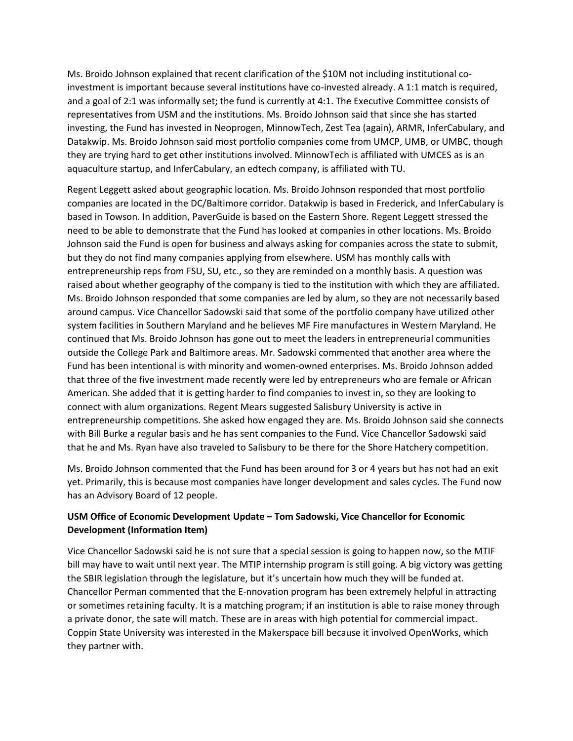Ms. Broido Johnson explained that recent clarification of the \$10M not including institutional coinvestment is important because several institutions have co-invested already. A 1:1 match is required, and a goal of 2:1 was informally set; the fund is currently at 4:1. The Executive Committee consists of representatives from USM and the institutions. Ms. Broido Johnson said that since she has started investing, the Fund has invested in Neoprogen, MinnowTech, Zest Tea (again), ARMR, InferCabulary, and Datakwip. Ms. Broido Johnson said most portfolio companies come from UMCP, UMB, or UMBC, though they are trying hard to get other institutions involved. MinnowTech is affiliated with UMCES as is an aquaculture startup, and InferCabulary, an edtech company, is affiliated with TU.

Regent Leggett asked about geographic location. Ms. Broido Johnson responded that most portfolio companies are located in the DC/Baltimore corridor. Datakwip is based in Frederick, and InferCabulary is based in Towson. In addition, PaverGuide is based on the Eastern Shore. Regent Leggett stressed the need to be able to demonstrate that the Fund has looked at companies in other locations. Ms. Broido Johnson said the Fund is open for business and always asking for companies across the state to submit, but they do not find many companies applying from elsewhere. USM has monthly calls with entrepreneurship reps from FSU, SU, etc., so they are reminded on a monthly basis. A question was raised about whether geography of the company is tied to the institution with which they are affiliated. Ms. Broido Johnson responded that some companies are led by alum, so they are not necessarily based around campus. Vice Chancellor Sadowski said that some of the portfolio company have utilized other system facilities in Southern Maryland and he believes MF Fire manufactures in Western Maryland. He continued that Ms. Broido Johnson has gone out to meet the leaders in entrepreneurial communities outside the College Park and Baltimore areas. Mr. Sadowski commented that another area where the Fund has been intentional is with minority and women-owned enterprises. Ms. Broido Johnson added that three of the five investment made recently were led by entrepreneurs who are female or African American. She added that it is getting harder to find companies to invest in, so they are looking to connect with alum organizations. Regent Mears suggested Salisbury University is active in entrepreneurship competitions. She asked how engaged they are. Ms. Broido Johnson said she connects with Bill Burke a regular basis and he has sent companies to the Fund. Vice Chancellor Sadowski said that he and Ms. Ryan have also traveled to Salisbury to be there for the Shore Hatchery competition.

Ms. Broido Johnson commented that the Fund has been around for 3 or 4 years but has not had an exit yet. Primarily, this is because most companies have longer development and sales cycles. The Fund now has an Advisory Board of 12 people.

## **USM Office of Economic Development Update – Tom Sadowski, Vice Chancellor for Economic Development (Information Item)**

Vice Chancellor Sadowski said he is not sure that a special session is going to happen now, so the MTIF bill may have to wait until next year. The MTIP internship program is still going. A big victory was getting the SBIR legislation through the legislature, but it's uncertain how much they will be funded at. Chancellor Perman commented that the E-nnovation program has been extremely helpful in attracting or sometimes retaining faculty. It is a matching program; if an institution is able to raise money through a private donor, the sate will match. These are in areas with high potential for commercial impact. Coppin State University was interested in the Makerspace bill because it involved OpenWorks, which they partner with.